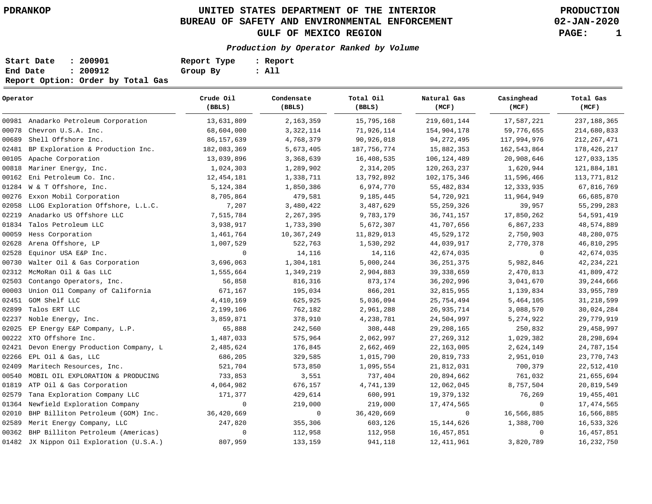**02-JAN-2020**

| Start Date | : 200901                          | Report Type | : Report |
|------------|-----------------------------------|-------------|----------|
| End Date   | : 200912                          | Group By    | : All    |
|            | Report Option: Order by Total Gas |             |          |

| Operator |                                          | Crude Oil<br>(BBLS) | Condensate<br>(BBLS) | Total Oil<br>(BBLS) | Natural Gas<br>(MCF) | Casinghead<br>(MCF) | Total Gas<br>(MCF) |
|----------|------------------------------------------|---------------------|----------------------|---------------------|----------------------|---------------------|--------------------|
|          | 00981 Anadarko Petroleum Corporation     | 13,631,809          | 2,163,359            | 15,795,168          | 219,601,144          | 17,587,221          | 237, 188, 365      |
| 00078    | Chevron U.S.A. Inc.                      | 68,604,000          | 3, 322, 114          | 71,926,114          | 154,904,178          | 59,776,655          | 214,680,833        |
| 00689    | Shell Offshore Inc.                      | 86, 157, 639        | 4,768,379            | 90,926,018          | 94, 272, 495         | 117,994,976         | 212, 267, 471      |
| 02481    | BP Exploration & Production Inc.         | 182,083,369         | 5,673,405            | 187, 756, 774       | 15,882,353           | 162,543,864         | 178,426,217        |
| 00105    | Apache Corporation                       | 13,039,896          | 3,368,639            | 16,408,535          | 106, 124, 489        | 20,908,646          | 127,033,135        |
| 00818    | Mariner Energy, Inc.                     | 1,024,303           | 1,289,902            | 2,314,205           | 120, 263, 237        | 1,620,944           | 121,884,181        |
| 00162    | Eni Petroleum Co. Inc.                   | 12, 454, 181        | 1,338,711            | 13,792,892          | 102, 175, 346        | 11,596,466          | 113,771,812        |
| 01284    | W & T Offshore, Inc.                     | 5,124,384           | 1,850,386            | 6,974,770           | 55, 482, 834         | 12,333,935          | 67,816,769         |
| 00276    | Exxon Mobil Corporation                  | 8,705,864           | 479,581              | 9,185,445           | 54,720,921           | 11,964,949          | 66,685,870         |
| 02058    | LLOG Exploration Offshore, L.L.C.        | 7,207               | 3,480,422            | 3,487,629           | 55, 259, 326         | 39,957              | 55, 299, 283       |
| 02219    | Anadarko US Offshore LLC                 | 7,515,784           | 2, 267, 395          | 9,783,179           | 36, 741, 157         | 17,850,262          | 54, 591, 419       |
| 01834    | Talos Petroleum LLC                      | 3,938,917           | 1,733,390            | 5,672,307           | 41,707,656           | 6,867,233           | 48,574,889         |
| 00059    | Hess Corporation                         | 1,461,764           | 10,367,249           | 11,829,013          | 45,529,172           | 2,750,903           | 48,280,075         |
| 02628    | Arena Offshore, LP                       | 1,007,529           | 522,763              | 1,530,292           | 44,039,917           | 2,770,378           | 46,810,295         |
| 02528    | Equinor USA E&P Inc.                     | 0                   | 14,116               | 14,116              | 42,674,035           | $\mathbf 0$         | 42,674,035         |
| 00730    | Walter Oil & Gas Corporation             | 3,696,063           | 1,304,181            | 5,000,244           | 36, 251, 375         | 5,982,846           | 42, 234, 221       |
| 02312    | McMoRan Oil & Gas LLC                    | 1,555,664           | 1,349,219            | 2,904,883           | 39, 338, 659         | 2,470,813           | 41,809,472         |
| 02503    | Contango Operators, Inc.                 | 56,858              | 816,316              | 873,174             | 36, 202, 996         | 3,041,670           | 39, 244, 666       |
| 00003    | Union Oil Company of California          | 671,167             | 195,034              | 866,201             | 32,815,955           | 1,139,834           | 33, 955, 789       |
| 02451    | GOM Shelf LLC                            | 4,410,169           | 625,925              | 5,036,094           | 25,754,494           | 5,464,105           | 31, 218, 599       |
| 02899    | Talos ERT LLC                            | 2,199,106           | 762,182              | 2,961,288           | 26, 935, 714         | 3,088,570           | 30,024,284         |
| 02237    | Noble Energy, Inc.                       | 3,859,871           | 378,910              | 4,238,781           | 24,504,997           | 5,274,922           | 29,779,919         |
| 02025    | EP Energy E&P Company, L.P.              | 65,888              | 242,560              | 308,448             | 29, 208, 165         | 250,832             | 29, 458, 997       |
| 00222    | XTO Offshore Inc.                        | 1,487,033           | 575,964              | 2,062,997           | 27, 269, 312         | 1,029,382           | 28, 298, 694       |
| 02421    | Devon Energy Production Company, L       | 2,485,624           | 176,845              | 2,662,469           | 22, 163, 005         | 2,624,149           | 24,787,154         |
| 02266    | EPL Oil & Gas, LLC                       | 686,205             | 329,585              | 1,015,790           | 20,819,733           | 2,951,010           | 23,770,743         |
| 02409    | Maritech Resources, Inc.                 | 521,704             | 573,850              | 1,095,554           | 21,812,031           | 700,379             | 22,512,410         |
| 00540    | MOBIL OIL EXPLORATION & PRODUCING        | 733,853             | 3,551                | 737,404             | 20,894,662           | 761,032             | 21,655,694         |
| 01819    | ATP Oil & Gas Corporation                | 4,064,982           | 676,157              | 4,741,139           | 12,062,045           | 8,757,504           | 20,819,549         |
| 02579    | Tana Exploration Company LLC             | 171,377             | 429,614              | 600,991             | 19,379,132           | 76,269              | 19, 455, 401       |
| 01364    | Newfield Exploration Company             | $\mathbf 0$         | 219,000              | 219,000             | 17, 474, 565         | $\mathbf 0$         | 17,474,565         |
| 02010    | BHP Billiton Petroleum (GOM) Inc.        | 36,420,669          | 0                    | 36,420,669          | 0                    | 16,566,885          | 16,566,885         |
| 02589    | Merit Energy Company, LLC                | 247,820             | 355,306              | 603,126             | 15, 144, 626         | 1,388,700           | 16,533,326         |
| 00362    | BHP Billiton Petroleum (Americas)        | $\mathbf 0$         | 112,958              | 112,958             | 16,457,851           | $\mathbf 0$         | 16,457,851         |
|          | 01482 JX Nippon Oil Exploration (U.S.A.) | 807,959             | 133,159              | 941,118             | 12, 411, 961         | 3,820,789           | 16, 232, 750       |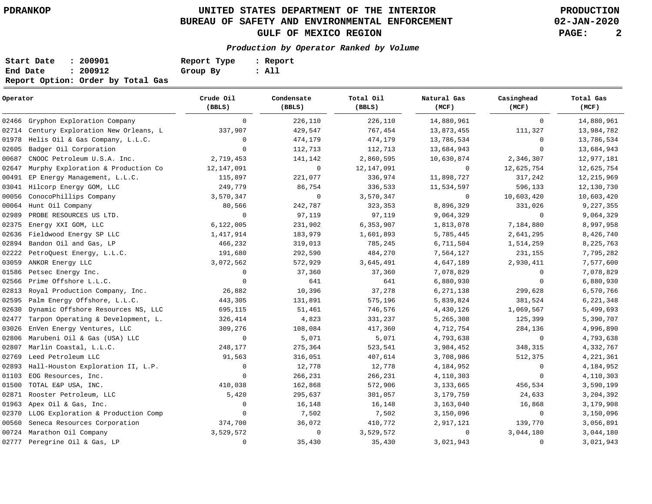**02-JAN-2020**

| Start Date | : 200901                          | Report Type | : Report |
|------------|-----------------------------------|-------------|----------|
| End Date   | : 200912                          | Group By    | : All    |
|            | Report Option: Order by Total Gas |             |          |

| Operator |                                    | Crude Oil<br>(BBLS) | Condensate<br>(BBLS) | Total Oil<br>(BBLS) | Natural Gas<br>(MCF) | Casinghead<br>(MCF) | Total Gas<br>(MCF) |
|----------|------------------------------------|---------------------|----------------------|---------------------|----------------------|---------------------|--------------------|
| 02466    | Gryphon Exploration Company        | $\mathbf 0$         | 226,110              | 226,110             | 14,880,961           | $\mathbf{0}$        | 14,880,961         |
| 02714    | Century Exploration New Orleans, L | 337,907             | 429,547              | 767,454             | 13,873,455           | 111,327             | 13,984,782         |
| 01978    | Helis Oil & Gas Company, L.L.C.    | $\mathbf 0$         | 474,179              | 474,179             | 13,786,534           | $\mathbf 0$         | 13,786,534         |
| 02605    | Badger Oil Corporation             | $\mathbf 0$         | 112,713              | 112,713             | 13,684,943           | $\mathbf 0$         | 13,684,943         |
| 00687    | CNOOC Petroleum U.S.A. Inc.        | 2,719,453           | 141,142              | 2,860,595           | 10,630,874           | 2,346,307           | 12,977,181         |
| 02647    | Murphy Exploration & Production Co | 12,147,091          | $\mathbf 0$          | 12,147,091          | 0                    | 12,625,754          | 12,625,754         |
| 00491    | EP Energy Management, L.L.C.       | 115,897             | 221,077              | 336,974             | 11,898,727           | 317,242             | 12, 215, 969       |
| 03041    | Hilcorp Energy GOM, LLC            | 249,779             | 86,754               | 336,533             | 11,534,597           | 596,133             | 12,130,730         |
| 00056    | ConocoPhillips Company             | 3,570,347           | $\mathbf 0$          | 3,570,347           | $\mathbf 0$          | 10,603,420          | 10,603,420         |
| 00064    | Hunt Oil Company                   | 80,566              | 242,787              | 323,353             | 8,896,329            | 331,026             | 9,227,355          |
| 02989    | PROBE RESOURCES US LTD.            | $\mathbf 0$         | 97,119               | 97,119              | 9,064,329            | $\mathbf{0}$        | 9,064,329          |
| 02375    | Energy XXI GOM, LLC                | 6, 122, 005         | 231,902              | 6,353,907           | 1,813,078            | 7,184,880           | 8,997,958          |
| 02636    | Fieldwood Energy SP LLC            | 1,417,914           | 183,979              | 1,601,893           | 5,785,445            | 2,641,295           | 8,426,740          |
| 02894    | Bandon Oil and Gas, LP             | 466,232             | 319,013              | 785,245             | 6,711,504            | 1,514,259           | 8,225,763          |
| 02222    | PetroQuest Energy, L.L.C.          | 191,680             | 292,590              | 484,270             | 7,564,127            | 231,155             | 7,795,282          |
| 03059    | ANKOR Energy LLC                   | 3,072,562           | 572,929              | 3,645,491           | 4,647,189            | 2,930,411           | 7,577,600          |
| 01586    | Petsec Energy Inc.                 | $\mathbf 0$         | 37,360               | 37,360              | 7,078,829            | $\mathbf 0$         | 7,078,829          |
| 02566    | Prime Offshore L.L.C.              | $\mathbf 0$         | 641                  | 641                 | 6,880,930            | $\mathbf 0$         | 6,880,930          |
| 02813    | Royal Production Company, Inc.     | 26,882              | 10,396               | 37,278              | 6, 271, 138          | 299,628             | 6,570,766          |
| 02595    | Palm Energy Offshore, L.L.C.       | 443,305             | 131,891              | 575,196             | 5,839,824            | 381,524             | 6, 221, 348        |
| 02630    | Dynamic Offshore Resources NS, LLC | 695,115             | 51,461               | 746,576             | 4,430,126            | 1,069,567           | 5,499,693          |
| 02477    | Tarpon Operating & Development, L. | 326,414             | 4,823                | 331,237             | 5,265,308            | 125,399             | 5,390,707          |
| 03026    | EnVen Energy Ventures, LLC         | 309,276             | 108,084              | 417,360             | 4,712,754            | 284,136             | 4,996,890          |
| 02806    | Marubeni Oil & Gas (USA) LLC       | $\mathbf 0$         | 5,071                | 5,071               | 4,793,638            | $\mathbf 0$         | 4,793,638          |
| 02807    | Marlin Coastal, L.L.C.             | 248,177             | 275,364              | 523,541             | 3,984,452            | 348,315             | 4,332,767          |
| 02769    | Leed Petroleum LLC                 | 91,563              | 316,051              | 407,614             | 3,708,986            | 512,375             | 4,221,361          |
| 02893    | Hall-Houston Exploration II, L.P.  | 0                   | 12,778               | 12,778              | 4,184,952            | 0                   | 4,184,952          |
| 01103    | EOG Resources, Inc.                | $\mathbf{0}$        | 266,231              | 266,231             | 4,110,303            | $\mathbf 0$         | 4,110,303          |
| 01500    | TOTAL E&P USA, INC.                | 410,038             | 162,868              | 572,906             | 3,133,665            | 456,534             | 3,590,199          |
| 02871    | Rooster Petroleum, LLC             | 5,420               | 295,637              | 301,057             | 3,179,759            | 24,633              | 3, 204, 392        |
| 01963    | Apex Oil & Gas, Inc.               | 0                   | 16,148               | 16,148              | 3,163,040            | 16,868              | 3,179,908          |
| 02370    | LLOG Exploration & Production Comp | $\circ$             | 7,502                | 7,502               | 3,150,096            | $\mathbf 0$         | 3,150,096          |
| 00560    | Seneca Resources Corporation       | 374,700             | 36,072               | 410,772             | 2,917,121            | 139,770             | 3,056,891          |
| 00724    | Marathon Oil Company               | 3,529,572           | $\mathbf 0$          | 3,529,572           | $\mathbf 0$          | 3,044,180           | 3,044,180          |
|          | 02777 Peregrine Oil & Gas, LP      | $\mathbf 0$         | 35,430               | 35,430              | 3,021,943            | 0                   | 3,021,943          |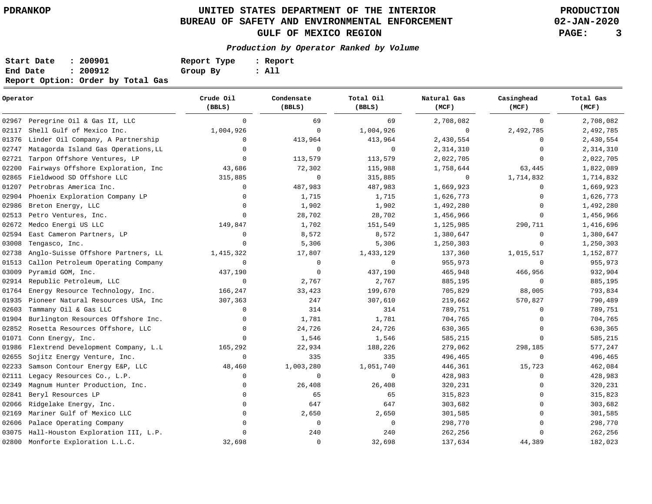**02-JAN-2020**

| Start Date | : 200901                          | Report Type | : Report |
|------------|-----------------------------------|-------------|----------|
| End Date   | : 200912                          | Group By    | : All    |
|            | Report Option: Order by Total Gas |             |          |

| Operator |                                     | Crude Oil<br>(BBLS) | Condensate<br>(BBLS) | Total Oil<br>(BBLS) | Natural Gas<br>(MCF) | Casinghead<br>(MCF) | Total Gas<br>(MCF) |
|----------|-------------------------------------|---------------------|----------------------|---------------------|----------------------|---------------------|--------------------|
| 02967    | Peregrine Oil & Gas II, LLC         | $\mathbf 0$         | 69                   | 69                  | 2,708,082            | 0                   | 2,708,082          |
| 02117    | Shell Gulf of Mexico Inc.           | 1,004,926           | $\mathbf 0$          | 1,004,926           | $\mathbf 0$          | 2,492,785           | 2,492,785          |
| 01376    | Linder Oil Company, A Partnership   | 0                   | 413,964              | 413,964             | 2,430,554            | $\Omega$            | 2,430,554          |
| 02747    | Matagorda Island Gas Operations, LL | $\mathbf 0$         | $\mathbf 0$          | 0                   | 2,314,310            | $\Omega$            | 2,314,310          |
| 02721    | Tarpon Offshore Ventures, LP        | $\mathbf{0}$        | 113,579              | 113,579             | 2,022,705            | $\Omega$            | 2,022,705          |
| 02200    | Fairways Offshore Exploration, Inc  | 43,686              | 72,302               | 115,988             | 1,758,644            | 63,445              | 1,822,089          |
| 02865    | Fieldwood SD Offshore LLC           | 315,885             | $\mathbf 0$          | 315,885             | 0                    | 1,714,832           | 1,714,832          |
| 01207    | Petrobras America Inc.              | $\mathbf 0$         | 487,983              | 487,983             | 1,669,923            | $\mathbf 0$         | 1,669,923          |
| 02904    | Phoenix Exploration Company LP      | $\Omega$            | 1,715                | 1,715               | 1,626,773            | $\Omega$            | 1,626,773          |
| 02986    | Breton Energy, LLC                  | $\mathbf 0$         | 1,902                | 1,902               | 1,492,280            | $\Omega$            | 1,492,280          |
| 02513    | Petro Ventures, Inc.                | $\Omega$            | 28,702               | 28,702              | 1,456,966            | $\Omega$            | 1,456,966          |
| 02672    | Medco Energi US LLC                 | 149,847             | 1,702                | 151,549             | 1,125,985            | 290,711             | 1,416,696          |
| 02594    | East Cameron Partners, LP           | 0                   | 8,572                | 8,572               | 1,380,647            | $\Omega$            | 1,380,647          |
| 03008    | Tengasco, Inc.                      | $\Omega$            | 5,306                | 5,306               | 1,250,303            | $\Omega$            | 1,250,303          |
| 02738    | Anglo-Suisse Offshore Partners, LL  | 1,415,322           | 17,807               | 1,433,129           | 137,360              | 1,015,517           | 1,152,877          |
| 01513    | Callon Petroleum Operating Company  | $\mathsf 0$         | $\mathbf 0$          | $\mathbf 0$         | 955,973              | $\mathsf{O}$        | 955,973            |
| 03009    | Pyramid GOM, Inc.                   | 437,190             | $\mathbf 0$          | 437,190             | 465,948              | 466,956             | 932,904            |
| 02914    | Republic Petroleum, LLC             | 0                   | 2,767                | 2,767               | 885,195              | $\mathbf 0$         | 885,195            |
| 01764    | Energy Resource Technology, Inc.    | 166,247             | 33,423               | 199,670             | 705,829              | 88,005              | 793,834            |
| 01935    | Pioneer Natural Resources USA, Inc. | 307,363             | 247                  | 307,610             | 219,662              | 570,827             | 790,489            |
| 02603    | Tammany Oil & Gas LLC               | $\Omega$            | 314                  | 314                 | 789,751              | $\Omega$            | 789,751            |
| 01904    | Burlington Resources Offshore Inc.  | $\mathbf 0$         | 1,781                | 1,781               | 704,765              | $\Omega$            | 704,765            |
| 02852    | Rosetta Resources Offshore, LLC     | $\mathbf 0$         | 24,726               | 24,726              | 630,365              | $\Omega$            | 630,365            |
| 01071    | Conn Energy, Inc.                   | $\Omega$            | 1,546                | 1,546               | 585,215              | $\Omega$            | 585,215            |
| 01986    | Flextrend Development Company, L.L  | 165,292             | 22,934               | 188,226             | 279,062              | 298,185             | 577,247            |
| 02655    | Sojitz Energy Venture, Inc.         | 0                   | 335                  | 335                 | 496,465              | 0                   | 496,465            |
| 02233    | Samson Contour Energy E&P, LLC      | 48,460              | 1,003,280            | 1,051,740           | 446,361              | 15,723              | 462,084            |
| 02111    | Legacy Resources Co., L.P.          | 0                   | 0                    | 0                   | 428,983              | $\Omega$            | 428,983            |
| 02349    | Magnum Hunter Production, Inc.      | 0                   | 26,408               | 26,408              | 320,231              | $\Omega$            | 320,231            |
| 02841    | Beryl Resources LP                  | $\Omega$            | 65                   | 65                  | 315,823              | $\Omega$            | 315,823            |
| 02066    | Ridgelake Energy, Inc.              | $\mathbf 0$         | 647                  | 647                 | 303,682              | $\Omega$            | 303,682            |
| 02169    | Mariner Gulf of Mexico LLC          | $\Omega$            | 2,650                | 2,650               | 301,585              | $\Omega$            | 301,585            |
| 02606    | Palace Operating Company            | $\Omega$            | $\mathbf 0$          | $\mathbf 0$         | 298,770              | $\Omega$            | 298,770            |
| 03075    | Hall-Houston Exploration III, L.P.  | $\Omega$            | 240                  | 240                 | 262,256              | U                   | 262,256            |
|          | 02800 Monforte Exploration L.L.C.   | 32,698              | $\mathbf 0$          | 32,698              | 137,634              | 44,389              | 182,023            |